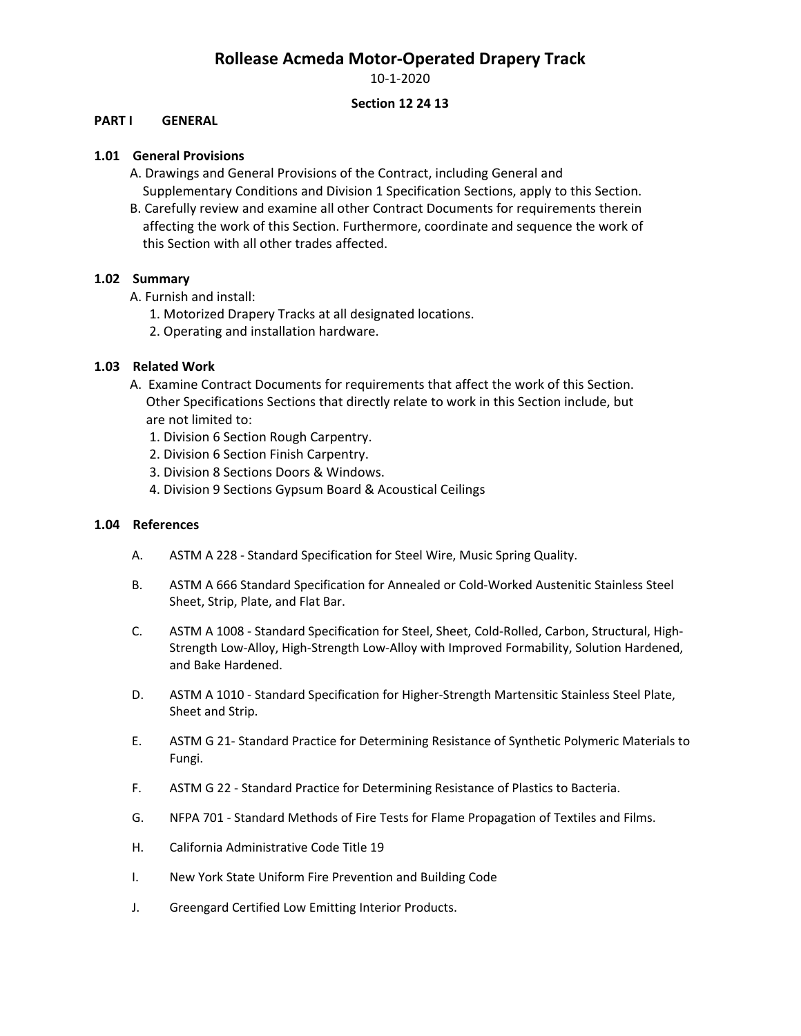10-1-2020

### **Section 12 24 13**

#### **PART I GENERAL**

#### **1.01 General Provisions**

- A. Drawings and General Provisions of the Contract, including General and Supplementary Conditions and Division 1 Specification Sections, apply to this Section.
- B. Carefully review and examine all other Contract Documents for requirements therein affecting the work of this Section. Furthermore, coordinate and sequence the work of this Section with all other trades affected.

#### **1.02 Summary**

- A. Furnish and install:
	- 1. Motorized Drapery Tracks at all designated locations.
	- 2. Operating and installation hardware.

### **1.03 Related Work**

- A. Examine Contract Documents for requirements that affect the work of this Section. Other Specifications Sections that directly relate to work in this Section include, but are not limited to:
	- 1. Division 6 Section Rough Carpentry.
	- 2. Division 6 Section Finish Carpentry.
	- 3. Division 8 Sections Doors & Windows.
	- 4. Division 9 Sections Gypsum Board & Acoustical Ceilings

#### **1.04 References**

- A. ASTM A 228 Standard Specification for Steel Wire, Music Spring Quality.
- B. ASTM A 666 Standard Specification for Annealed or Cold-Worked Austenitic Stainless Steel Sheet, Strip, Plate, and Flat Bar.
- C. ASTM A 1008 Standard Specification for Steel, Sheet, Cold-Rolled, Carbon, Structural, High-Strength Low-Alloy, High-Strength Low-Alloy with Improved Formability, Solution Hardened, and Bake Hardened.
- D. ASTM A 1010 Standard Specification for Higher-Strength Martensitic Stainless Steel Plate, Sheet and Strip.
- E. ASTM G 21- Standard Practice for Determining Resistance of Synthetic Polymeric Materials to Fungi.
- F. ASTM G 22 Standard Practice for Determining Resistance of Plastics to Bacteria.
- G. NFPA 701 Standard Methods of Fire Tests for Flame Propagation of Textiles and Films.
- H. California Administrative Code Title 19
- I. New York State Uniform Fire Prevention and Building Code
- J. Greengard Certified Low Emitting Interior Products.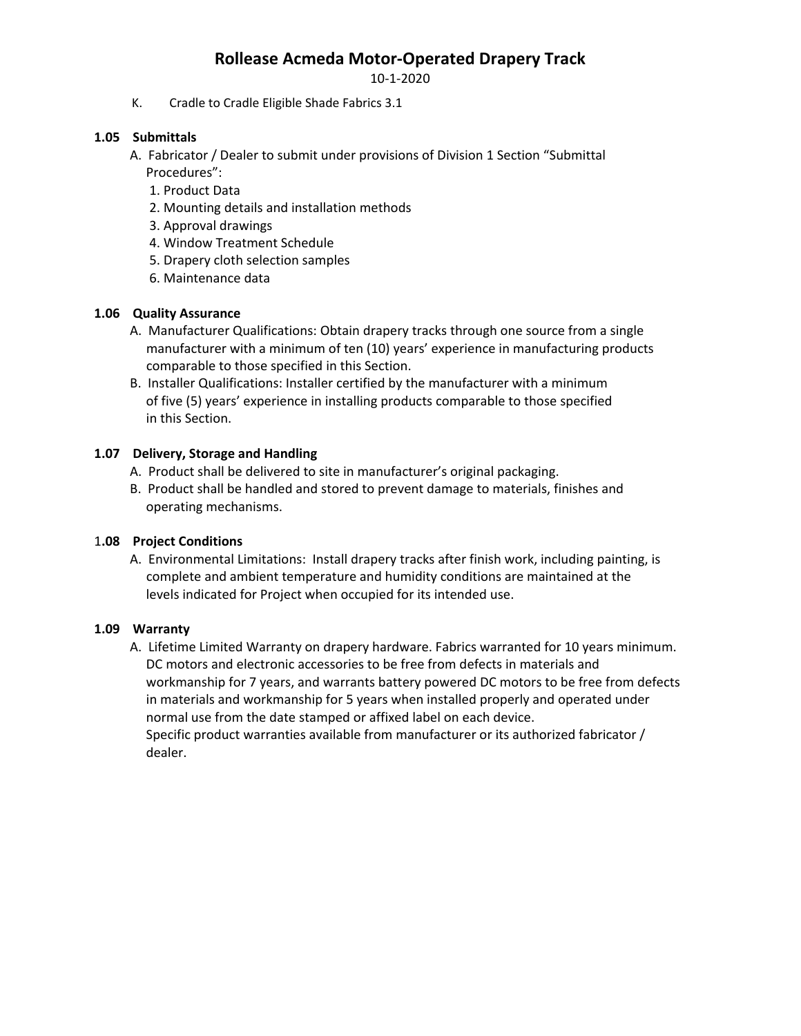10-1-2020

K. Cradle to Cradle Eligible Shade Fabrics 3.1

## **1.05 Submittals**

 A. Fabricator / Dealer to submit under provisions of Division 1 Section "Submittal Procedures":

- 1. Product Data
- 2. Mounting details and installation methods
- 3. Approval drawings
- 4. Window Treatment Schedule
- 5. Drapery cloth selection samples
- 6. Maintenance data

### **1.06 Quality Assurance**

- A. Manufacturer Qualifications: Obtain drapery tracks through one source from a single manufacturer with a minimum of ten (10) years' experience in manufacturing products comparable to those specified in this Section.
- B. Installer Qualifications: Installer certified by the manufacturer with a minimum of five (5) years' experience in installing products comparable to those specified in this Section.

### **1.07 Delivery, Storage and Handling**

- A. Product shall be delivered to site in manufacturer's original packaging.
- B. Product shall be handled and stored to prevent damage to materials, finishes and operating mechanisms.

### 1**.08 Project Conditions**

 A. Environmental Limitations: Install drapery tracks after finish work, including painting, is complete and ambient temperature and humidity conditions are maintained at the levels indicated for Project when occupied for its intended use.

### **1.09 Warranty**

 A. Lifetime Limited Warranty on drapery hardware. Fabrics warranted for 10 years minimum. DC motors and electronic accessories to be free from defects in materials and workmanship for 7 years, and warrants battery powered DC motors to be free from defects in materials and workmanship for 5 years when installed properly and operated under normal use from the date stamped or affixed label on each device. Specific product warranties available from manufacturer or its authorized fabricator / dealer.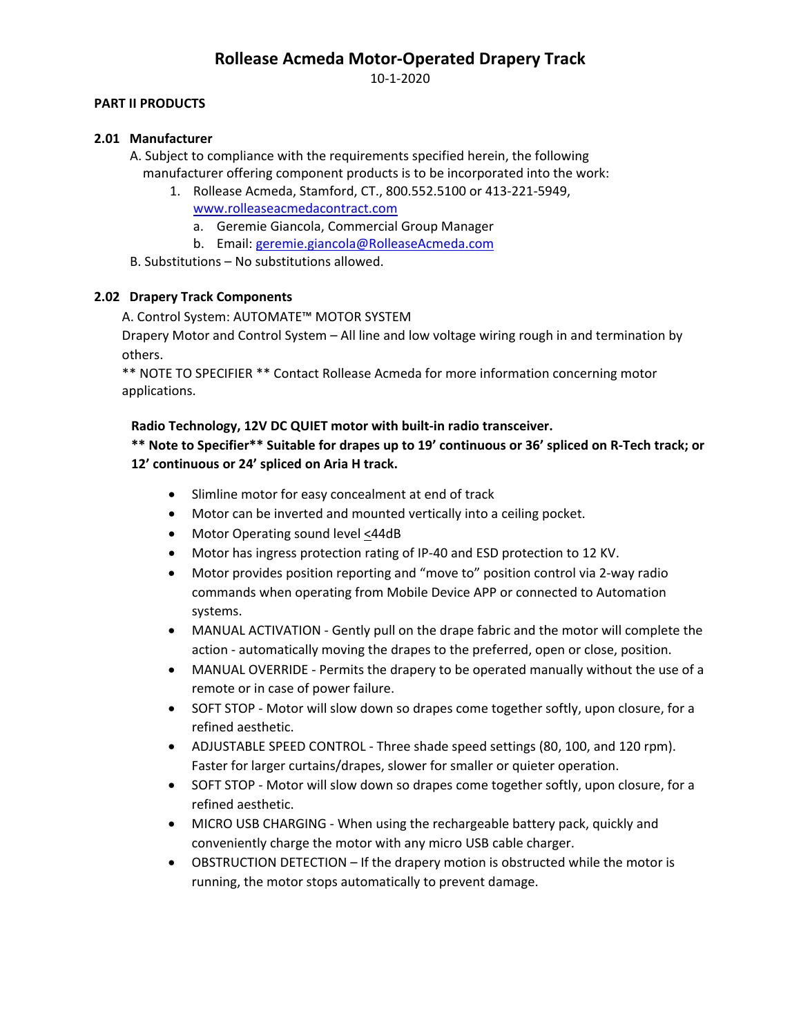10-1-2020

### **PART II PRODUCTS**

### **2.01 Manufacturer**

 A. Subject to compliance with the requirements specified herein, the following manufacturer offering component products is to be incorporated into the work:

- 1. Rollease Acmeda, Stamford, CT., 800.552.5100 or 413-221-5949, [www.rolleaseacmedacontract.com](http://www.rolleaseacmedacontract.com/)
	- a. Geremie Giancola, Commercial Group Manager
	- b. Email[: geremie.giancola@RolleaseAcmeda.com](mailto:geremie.giancola@RolleaseAcmeda.com)

B. Substitutions – No substitutions allowed.

### **2.02 Drapery Track Components**

A. Control System: AUTOMATE™ MOTOR SYSTEM

Drapery Motor and Control System – All line and low voltage wiring rough in and termination by others.

\*\* NOTE TO SPECIFIER \*\* Contact Rollease Acmeda for more information concerning motor applications.

#### **Radio Technology, 12V DC QUIET motor with built-in radio transceiver.**

**\*\* Note to Specifier\*\* Suitable for drapes up to 19' continuous or 36' spliced on R-Tech track; or 12' continuous or 24' spliced on Aria H track.**

- Slimline motor for easy concealment at end of track
- Motor can be inverted and mounted vertically into a ceiling pocket.
- Motor Operating sound level <44dB
- Motor has ingress protection rating of IP-40 and ESD protection to 12 KV.
- Motor provides position reporting and "move to" position control via 2-way radio commands when operating from Mobile Device APP or connected to Automation systems.
- MANUAL ACTIVATION Gently pull on the drape fabric and the motor will complete the action - automatically moving the drapes to the preferred, open or close, position.
- MANUAL OVERRIDE Permits the drapery to be operated manually without the use of a remote or in case of power failure.
- SOFT STOP Motor will slow down so drapes come together softly, upon closure, for a refined aesthetic.
- ADJUSTABLE SPEED CONTROL Three shade speed settings (80, 100, and 120 rpm). Faster for larger curtains/drapes, slower for smaller or quieter operation.
- SOFT STOP Motor will slow down so drapes come together softly, upon closure, for a refined aesthetic.
- MICRO USB CHARGING When using the rechargeable battery pack, quickly and conveniently charge the motor with any micro USB cable charger.
- OBSTRUCTION DETECTION If the drapery motion is obstructed while the motor is running, the motor stops automatically to prevent damage.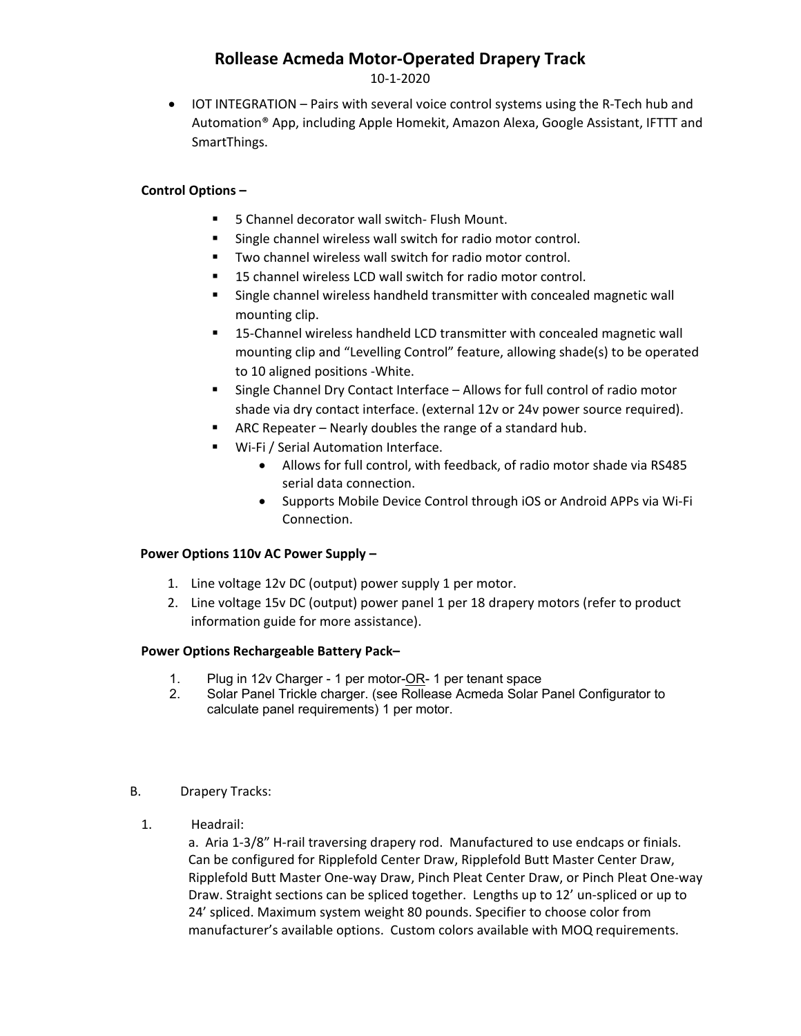10-1-2020

• IOT INTEGRATION – Pairs with several voice control systems using the R-Tech hub and Automation® App, including Apple Homekit, Amazon Alexa, Google Assistant, IFTTT and SmartThings.

## **Control Options –**

- **5** Channel decorator wall switch- Flush Mount.
- **Single channel wireless wall switch for radio motor control.**
- **TWO channel wireless wall switch for radio motor control.**
- 15 channel wireless LCD wall switch for radio motor control.
- **Single channel wireless handheld transmitter with concealed magnetic wall** mounting clip.
- 15-Channel wireless handheld LCD transmitter with concealed magnetic wall mounting clip and "Levelling Control" feature, allowing shade(s) to be operated to 10 aligned positions -White.
- Single Channel Dry Contact Interface Allows for full control of radio motor shade via dry contact interface. (external 12v or 24v power source required).
- ARC Repeater Nearly doubles the range of a standard hub.
- Wi-Fi / Serial Automation Interface.
	- Allows for full control, with feedback, of radio motor shade via RS485 serial data connection.
	- Supports Mobile Device Control through iOS or Android APPs via Wi-Fi Connection.

## **Power Options 110v AC Power Supply –**

- 1. Line voltage 12v DC (output) power supply 1 per motor.
- 2. Line voltage 15v DC (output) power panel 1 per 18 drapery motors (refer to product information guide for more assistance).

## **Power Options Rechargeable Battery Pack–**

- 1. Plug in 12v Charger 1 per motor-OR- 1 per tenant space
- 2. Solar Panel Trickle charger. (see Rollease Acmeda Solar Panel Configurator to calculate panel requirements) 1 per motor.
- B. Drapery Tracks:
	- 1. Headrail:

a. Aria 1-3/8" H-rail traversing drapery rod. Manufactured to use endcaps or finials. Can be configured for Ripplefold Center Draw, Ripplefold Butt Master Center Draw, Ripplefold Butt Master One-way Draw, Pinch Pleat Center Draw, or Pinch Pleat One-way Draw. Straight sections can be spliced together. Lengths up to 12' un-spliced or up to 24' spliced. Maximum system weight 80 pounds. Specifier to choose color from manufacturer's available options. Custom colors available with MOQ requirements.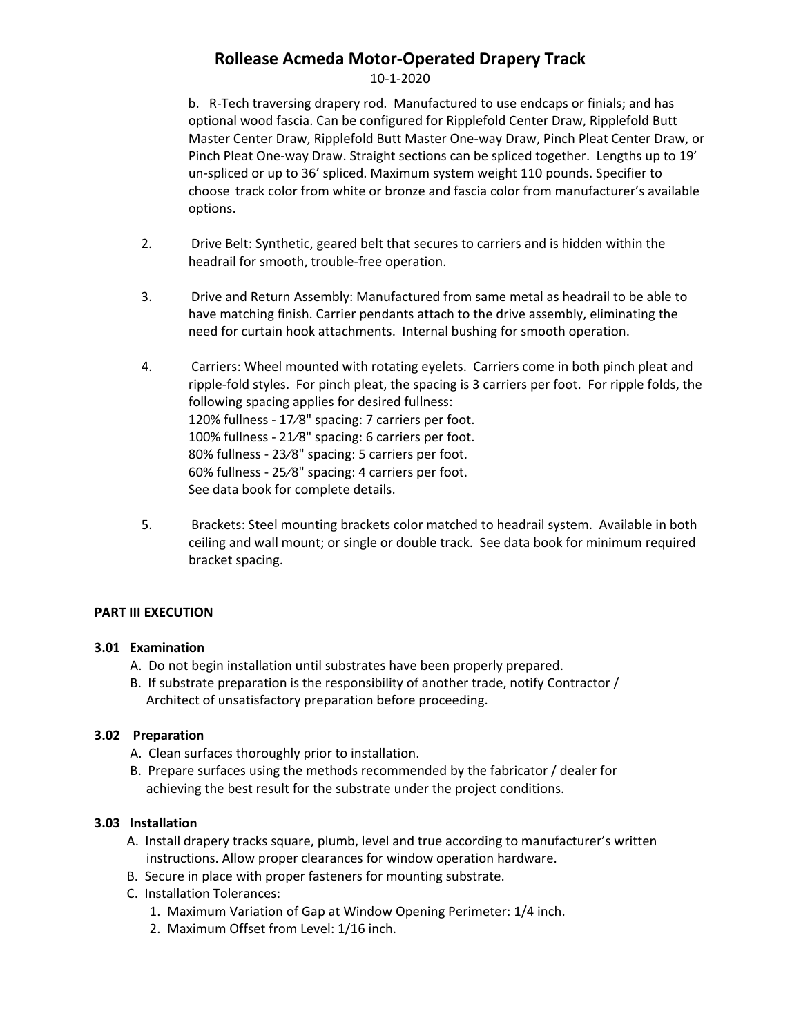### 10-1-2020

b. R-Tech traversing drapery rod. Manufactured to use endcaps or finials; and has optional wood fascia. Can be configured for Ripplefold Center Draw, Ripplefold Butt Master Center Draw, Ripplefold Butt Master One-way Draw, Pinch Pleat Center Draw, or Pinch Pleat One-way Draw. Straight sections can be spliced together. Lengths up to 19' un-spliced or up to 36' spliced. Maximum system weight 110 pounds. Specifier to choose track color from white or bronze and fascia color from manufacturer's available options.

- 2. Drive Belt: Synthetic, geared belt that secures to carriers and is hidden within the headrail for smooth, trouble-free operation.
- 3. Drive and Return Assembly: Manufactured from same metal as headrail to be able to have matching finish. Carrier pendants attach to the drive assembly, eliminating the need for curtain hook attachments. Internal bushing for smooth operation.
- 4. Carriers: Wheel mounted with rotating eyelets. Carriers come in both pinch pleat and ripple-fold styles. For pinch pleat, the spacing is 3 carriers per foot. For ripple folds, the following spacing applies for desired fullness: 120% fullness - 17⁄8" spacing: 7 carriers per foot. 100% fullness - 21⁄8" spacing: 6 carriers per foot. 80% fullness - 23⁄8" spacing: 5 carriers per foot. 60% fullness - 25⁄8" spacing: 4 carriers per foot. See data book for complete details.
- 5. Brackets: Steel mounting brackets color matched to headrail system. Available in both ceiling and wall mount; or single or double track. See data book for minimum required bracket spacing.

### **PART III EXECUTION**

### **3.01 Examination**

- A. Do not begin installation until substrates have been properly prepared.
- B. If substrate preparation is the responsibility of another trade, notify Contractor / Architect of unsatisfactory preparation before proceeding.

### **3.02 Preparation**

- A. Clean surfaces thoroughly prior to installation.
- B. Prepare surfaces using the methods recommended by the fabricator / dealer for achieving the best result for the substrate under the project conditions.

### **3.03 Installation**

- A. Install drapery tracks square, plumb, level and true according to manufacturer's written instructions. Allow proper clearances for window operation hardware.
- B. Secure in place with proper fasteners for mounting substrate.
- C. Installation Tolerances:
	- 1. Maximum Variation of Gap at Window Opening Perimeter: 1/4 inch.
	- 2. Maximum Offset from Level: 1/16 inch.